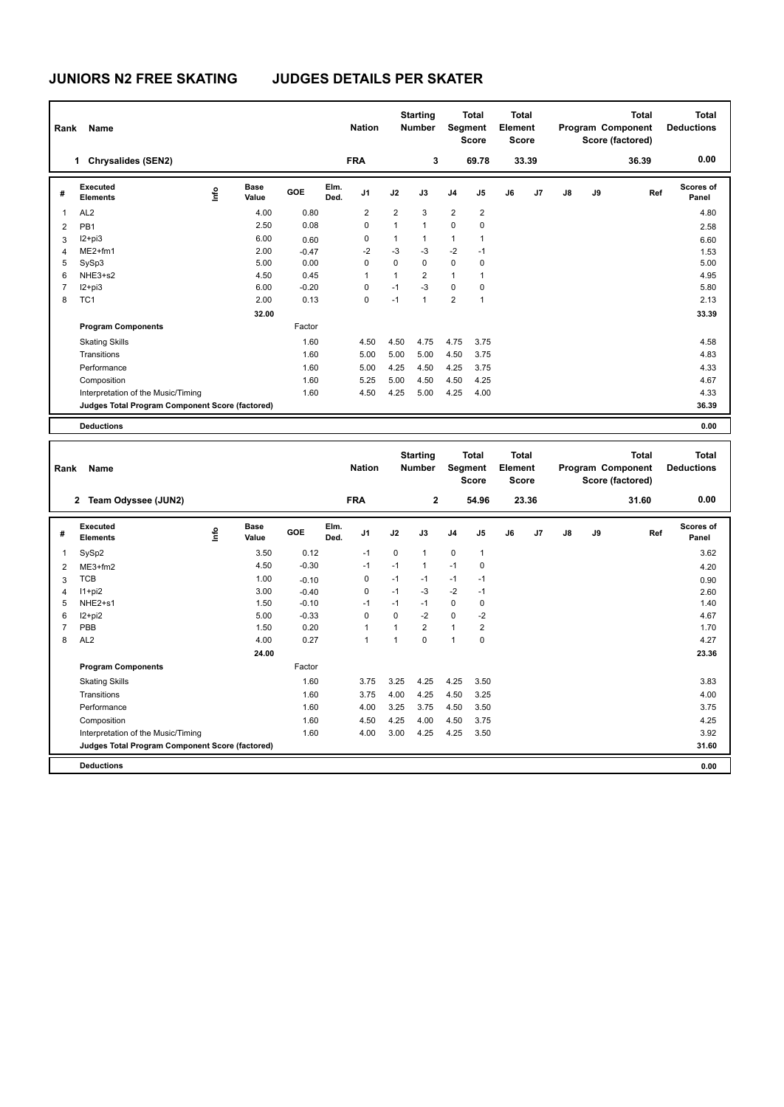## **JUNIORS N2 FREE SKATING JUDGES DETAILS PER SKATER**

| Rank           | Name                                            |    |                      |         |              | <b>Nation</b>  |                | <b>Starting</b><br><b>Number</b> |                | <b>Total</b><br>Segment<br><b>Score</b> | <b>Total</b><br>Element<br><b>Score</b> |       |               |    | <b>Total</b><br>Program Component<br>Score (factored) | Total<br><b>Deductions</b> |
|----------------|-------------------------------------------------|----|----------------------|---------|--------------|----------------|----------------|----------------------------------|----------------|-----------------------------------------|-----------------------------------------|-------|---------------|----|-------------------------------------------------------|----------------------------|
|                | <b>Chrysalides (SEN2)</b><br>1                  |    |                      |         |              | <b>FRA</b>     |                | 3                                |                | 69.78                                   |                                         | 33.39 |               |    | 36.39                                                 | 0.00                       |
| #              | Executed<br><b>Elements</b>                     | ۴ů | <b>Base</b><br>Value | GOE     | Elm.<br>Ded. | J <sub>1</sub> | J2             | J3                               | J <sub>4</sub> | J5                                      | J6                                      | J7    | $\mathsf{J}8$ | J9 | Ref                                                   | Scores of<br>Panel         |
| 1              | AL <sub>2</sub>                                 |    | 4.00                 | 0.80    |              | $\overline{2}$ | $\overline{2}$ | 3                                | $\overline{2}$ | $\overline{2}$                          |                                         |       |               |    |                                                       | 4.80                       |
| $\overline{2}$ | PB <sub>1</sub>                                 |    | 2.50                 | 0.08    |              | 0              | $\mathbf{1}$   | $\overline{1}$                   | 0              | 0                                       |                                         |       |               |    |                                                       | 2.58                       |
| 3              | $12+pi3$                                        |    | 6.00                 | 0.60    |              | 0              | $\mathbf{1}$   | $\mathbf{1}$                     | $\mathbf{1}$   | 1                                       |                                         |       |               |    |                                                       | 6.60                       |
| $\overline{4}$ | $ME2+fm1$                                       |    | 2.00                 | $-0.47$ |              | $-2$           | $-3$           | $-3$                             | $-2$           | $-1$                                    |                                         |       |               |    |                                                       | 1.53                       |
| 5              | SySp3                                           |    | 5.00                 | 0.00    |              | 0              | 0              | 0                                | $\mathbf 0$    | 0                                       |                                         |       |               |    |                                                       | 5.00                       |
| 6              | NHE3+s2                                         |    | 4.50                 | 0.45    |              | 1              | 1              | $\overline{2}$                   | $\mathbf{1}$   | 1                                       |                                         |       |               |    |                                                       | 4.95                       |
| 7              | $I2 + pi3$                                      |    | 6.00                 | $-0.20$ |              | $\Omega$       | $-1$           | $-3$                             | $\mathbf 0$    | 0                                       |                                         |       |               |    |                                                       | 5.80                       |
| 8              | TC <sub>1</sub>                                 |    | 2.00                 | 0.13    |              | 0              | $-1$           | $\overline{1}$                   | $\overline{2}$ | $\overline{1}$                          |                                         |       |               |    |                                                       | 2.13                       |
|                |                                                 |    | 32.00                |         |              |                |                |                                  |                |                                         |                                         |       |               |    |                                                       | 33.39                      |
|                | <b>Program Components</b>                       |    |                      | Factor  |              |                |                |                                  |                |                                         |                                         |       |               |    |                                                       |                            |
|                | <b>Skating Skills</b>                           |    |                      | 1.60    |              | 4.50           | 4.50           | 4.75                             | 4.75           | 3.75                                    |                                         |       |               |    |                                                       | 4.58                       |
|                | Transitions                                     |    |                      | 1.60    |              | 5.00           | 5.00           | 5.00                             | 4.50           | 3.75                                    |                                         |       |               |    |                                                       | 4.83                       |
|                | Performance                                     |    |                      | 1.60    |              | 5.00           | 4.25           | 4.50                             | 4.25           | 3.75                                    |                                         |       |               |    |                                                       | 4.33                       |
|                | Composition                                     |    |                      | 1.60    |              | 5.25           | 5.00           | 4.50                             | 4.50           | 4.25                                    |                                         |       |               |    |                                                       | 4.67                       |
|                | Interpretation of the Music/Timing              |    |                      | 1.60    |              | 4.50           | 4.25           | 5.00                             | 4.25           | 4.00                                    |                                         |       |               |    |                                                       | 4.33                       |
|                | Judges Total Program Component Score (factored) |    |                      |         |              |                |                |                                  |                |                                         |                                         |       |               |    |                                                       | 36.39                      |
|                | <b>Deductions</b>                               |    |                      |         |              |                |                |                                  |                |                                         |                                         |       |               |    |                                                       | 0.00                       |

| Rank           | <b>Name</b>                                     |    |                      |         |              | <b>Nation</b>  |                | <b>Starting</b><br><b>Number</b> | Segment        | <b>Total</b><br><b>Score</b> | Total<br>Element<br><b>Score</b> |                |    |    | Total<br>Program Component<br>Score (factored) | Total<br><b>Deductions</b> |
|----------------|-------------------------------------------------|----|----------------------|---------|--------------|----------------|----------------|----------------------------------|----------------|------------------------------|----------------------------------|----------------|----|----|------------------------------------------------|----------------------------|
|                | Team Odyssee (JUN2)<br>$\mathbf{2}$             |    |                      |         |              | <b>FRA</b>     |                | $\overline{2}$                   |                | 54.96                        |                                  | 23.36          |    |    | 31.60                                          | 0.00                       |
| #              | Executed<br><b>Elements</b>                     | ۴ů | <b>Base</b><br>Value | GOE     | Elm.<br>Ded. | J <sub>1</sub> | J2             | J3                               | J <sub>4</sub> | J <sub>5</sub>               | J6                               | J <sub>7</sub> | J8 | J9 | Ref                                            | Scores of<br>Panel         |
| $\overline{1}$ | SySp2                                           |    | 3.50                 | 0.12    |              | $-1$           | 0              | 1                                | $\mathbf 0$    | $\mathbf{1}$                 |                                  |                |    |    |                                                | 3.62                       |
| 2              | $ME3+fm2$                                       |    | 4.50                 | $-0.30$ |              | $-1$           | $-1$           | 1                                | $-1$           | 0                            |                                  |                |    |    |                                                | 4.20                       |
| 3              | <b>TCB</b>                                      |    | 1.00                 | $-0.10$ |              | 0              | $-1$           | $-1$                             | $-1$           | $-1$                         |                                  |                |    |    |                                                | 0.90                       |
| 4              | $11+pi2$                                        |    | 3.00                 | $-0.40$ |              | 0              | $-1$           | $-3$                             | $-2$           | $-1$                         |                                  |                |    |    |                                                | 2.60                       |
| 5              | NHE <sub>2+s1</sub>                             |    | 1.50                 | $-0.10$ |              | $-1$           | $-1$           | $-1$                             | 0              | 0                            |                                  |                |    |    |                                                | 1.40                       |
| 6              | $12+pi2$                                        |    | 5.00                 | $-0.33$ |              | $\Omega$       | $\Omega$       | $-2$                             | $\Omega$       | $-2$                         |                                  |                |    |    |                                                | 4.67                       |
| $\overline{7}$ | PBB                                             |    | 1.50                 | 0.20    |              | $\mathbf{1}$   | $\overline{ }$ | $\overline{2}$                   | $\mathbf{1}$   | $\overline{2}$               |                                  |                |    |    |                                                | 1.70                       |
| 8              | AL <sub>2</sub>                                 |    | 4.00                 | 0.27    |              | $\overline{1}$ | 1              | $\Omega$                         | $\overline{1}$ | 0                            |                                  |                |    |    |                                                | 4.27                       |
|                |                                                 |    | 24.00                |         |              |                |                |                                  |                |                              |                                  |                |    |    |                                                | 23.36                      |
|                | <b>Program Components</b>                       |    |                      | Factor  |              |                |                |                                  |                |                              |                                  |                |    |    |                                                |                            |
|                | <b>Skating Skills</b>                           |    |                      | 1.60    |              | 3.75           | 3.25           | 4.25                             | 4.25           | 3.50                         |                                  |                |    |    |                                                | 3.83                       |
|                | Transitions                                     |    |                      | 1.60    |              | 3.75           | 4.00           | 4.25                             | 4.50           | 3.25                         |                                  |                |    |    |                                                | 4.00                       |
|                | Performance                                     |    |                      | 1.60    |              | 4.00           | 3.25           | 3.75                             | 4.50           | 3.50                         |                                  |                |    |    |                                                | 3.75                       |
|                | Composition                                     |    |                      | 1.60    |              | 4.50           | 4.25           | 4.00                             | 4.50           | 3.75                         |                                  |                |    |    |                                                | 4.25                       |
|                | Interpretation of the Music/Timing              |    |                      | 1.60    |              | 4.00           | 3.00           | 4.25                             | 4.25           | 3.50                         |                                  |                |    |    |                                                | 3.92                       |
|                | Judges Total Program Component Score (factored) |    |                      |         |              |                |                |                                  |                |                              |                                  |                |    |    |                                                | 31.60                      |
|                | <b>Deductions</b>                               |    |                      |         |              |                |                |                                  |                |                              |                                  |                |    |    |                                                | 0.00                       |